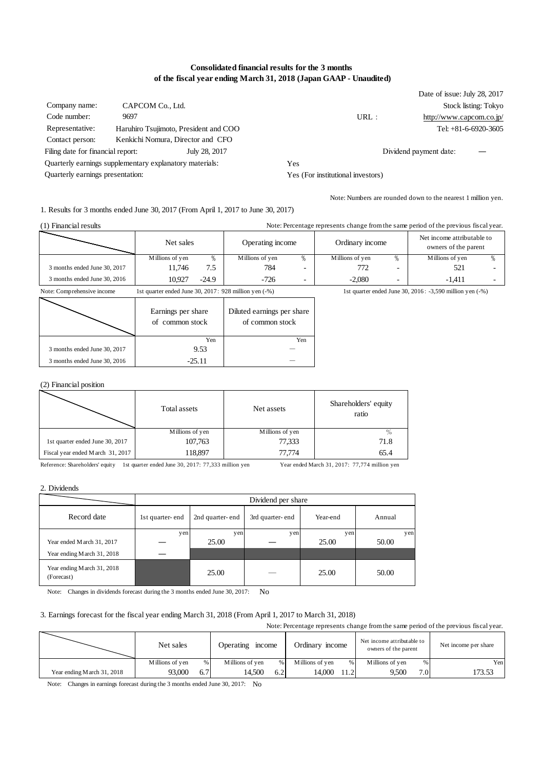# **Consolidated financial results for the 3 months of the fiscal year ending March 31, 2018 (Japan GAAP - Unaudited)**

|                                   |                                                         |               |                                   |      | Date of issue: July 28, 2017 |                        |
|-----------------------------------|---------------------------------------------------------|---------------|-----------------------------------|------|------------------------------|------------------------|
| Company name:                     | CAPCOM Co., Ltd.                                        |               |                                   |      |                              | Stock listing: Tokyo   |
| Code number:                      | 9697                                                    |               |                                   | URL: | http://www.capcom.co.jp/     |                        |
| Representative:                   | Haruhiro Tsujimoto, President and COO                   |               |                                   |      |                              | Tel: $+81-6-6920-3605$ |
| Contact person:                   | Kenkichi Nomura, Director and CFO                       |               |                                   |      |                              |                        |
| Filing date for financial report: |                                                         | July 28, 2017 |                                   |      | Dividend payment date:       |                        |
|                                   | Ouarterly earnings supplementary explanatory materials: |               | Yes                               |      |                              |                        |
| Quarterly earnings presentation:  |                                                         |               | Yes (For institutional investors) |      |                              |                        |

Note: Numbers are rounded down to the nearest 1 million yen.

1. Results for 3 months ended June 30, 2017 (From April 1, 2017 to June 30, 2017)

| (1) Financial results        | Note: Percentage represents change from the same period of the previous fiscal year. |       |                  |                          |                 |   |                                                    |  |  |
|------------------------------|--------------------------------------------------------------------------------------|-------|------------------|--------------------------|-----------------|---|----------------------------------------------------|--|--|
|                              | Net sales                                                                            |       | Operating income |                          | Ordinary income |   | Net income attributable to<br>owners of the parent |  |  |
|                              | Millions of yen                                                                      | %     | Millions of yen  | %                        | Millions of yen |   | Millions of yen                                    |  |  |
| 3 months ended June 30, 2017 | 11.746                                                                               | 7.5   | 784              | $\overline{\phantom{0}}$ | 772             |   | 521                                                |  |  |
| 3 months ended June 30, 2016 | 10.927                                                                               | -24.9 | $-726$           | $\overline{\phantom{0}}$ | $-2.080$        | - | -1.411                                             |  |  |

Note: Comprehensive income 1st quarter ended June 30, 2017: 928 million yen (-%) 1st quarter ended June 30, 2016: -3,590 million yen (-%)

|                              | Earnings per share<br>of common stock | Diluted earnings per share<br>of common stock |
|------------------------------|---------------------------------------|-----------------------------------------------|
|                              | Yen                                   | Yen                                           |
| 3 months ended June 30, 2017 | 9.53                                  |                                               |
| 3 months ended June 30, 2016 | $-2511$                               |                                               |

# (2) Financial position

|                                  | Total assets    | Net assets      | Shareholders' equity<br>ratio |
|----------------------------------|-----------------|-----------------|-------------------------------|
|                                  | Millions of yen | Millions of yen |                               |
| 1st quarter ended June 30, 2017  | 107,763         | 77.333          | 71.8                          |
| Fiscal year ended March 31, 2017 | 118,897         | 77.774          | 65.4                          |

Reference: Shareholders' equity 1st quarter ended June 30, 2017: 77,333 million yen Year ended March 31, 2017: 77,774 million yen

2. Dividends

|                                          | Dividend per share |                 |                 |          |        |  |  |  |
|------------------------------------------|--------------------|-----------------|-----------------|----------|--------|--|--|--|
| Record date                              | 1st quarter-end    | 2nd quarter-end | 3rd quarter-end | Year-end | Annual |  |  |  |
|                                          | yen                | yen             | yen             | yen      | yen    |  |  |  |
| Year ended March 31, 2017                |                    | 25.00           |                 | 25.00    | 50.00  |  |  |  |
| Year ending March 31, 2018               |                    |                 |                 |          |        |  |  |  |
| Year ending March 31, 2018<br>(Forecast) |                    | 25.00           |                 | 25.00    | 50.00  |  |  |  |

Note: Changes in dividends forecast during the 3 months ended June 30, 2017: No

#### 3. Earnings forecast for the fiscal year ending March 31, 2018 (From April 1, 2017 to March 31, 2018)

Note: Percentage represents change from the same period of the previous fiscal year.

|                            | Net sales       |     | income<br>Operating |      | Ordinary income |      | Net income attributable to<br>owners of the parent |     | Net income per share |
|----------------------------|-----------------|-----|---------------------|------|-----------------|------|----------------------------------------------------|-----|----------------------|
|                            | Millions of yen | %   | Millions of yen     | $\%$ | Millions of yen |      | Millions of ven                                    | %   | Yen                  |
| Year ending March 31, 2018 | 93,000          | 6.7 | 14.500              | 6.2  | 14.000          | 11.2 | 9.500                                              | 7.0 | 173.53               |

Note: Changes in earnings forecast during the 3 months ended June 30, 2017: No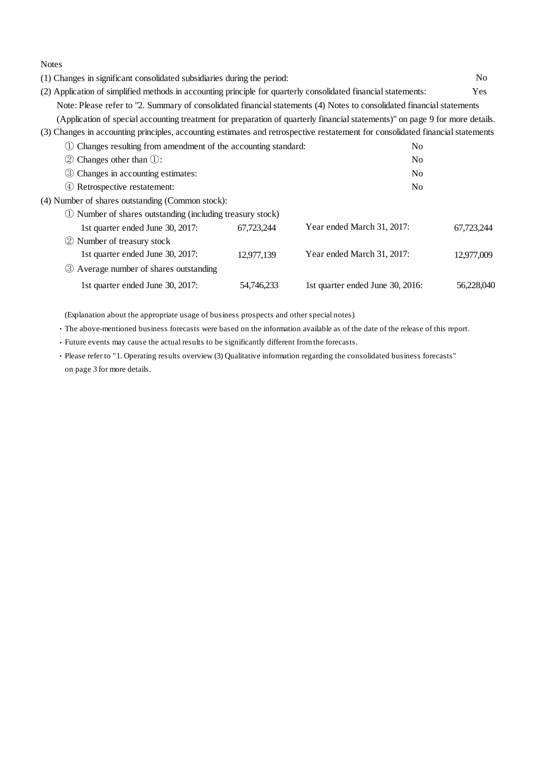Notes

(1) Changes in significant consolidated subsidiaries during the period: No (2) Application of simplified methods in accounting principle for quarterly consolidated financial statements: Yes Note: Please refer to "2. Summary of consolidated financial statements (4) Notes to consolidated financial statements (Application of special accounting treatment for preparation of quarterly financial statements)" on page 9 for more details. (3) Changes in accounting principles, accounting estimates and retrospective restatement for consolidated financial statements ① Changes resulting from amendment of the accounting standard: No

| $(2)$ Changes other than $(1)$ :                           |            | No                               |            |
|------------------------------------------------------------|------------|----------------------------------|------------|
| <b>3</b> Changes in accounting estimates:                  |            | No                               |            |
| 4 Retrospective restatement:                               |            | No                               |            |
| (4) Number of shares outstanding (Common stock):           |            |                                  |            |
| 1) Number of shares outstanding (including treasury stock) |            |                                  |            |
| 1st quarter ended June 30, 2017:                           | 67,723,244 | Year ended March 31, 2017:       | 67,723,244 |
| 2 Number of treasury stock                                 |            |                                  |            |
| 1st quarter ended June 30, 2017:                           | 12,977,139 | Year ended March 31, 2017:       | 12,977,009 |
| 3 Average number of shares outstanding                     |            |                                  |            |
| 1st quarter ended June 30, 2017:                           | 54,746,233 | 1st quarter ended June 30, 2016: | 56.228,040 |
|                                                            |            |                                  |            |

(Explanation about the appropriate usage of business prospects and other special notes)

・The above-mentioned business forecasts were based on the information available as of the date of the release of this report.

・Future events may cause the actual results to be significantly different from the forecasts.

・Please refer to "1. Operating results overview (3) Qualitative information regarding the consolidated business forecasts" on page 3 for more details.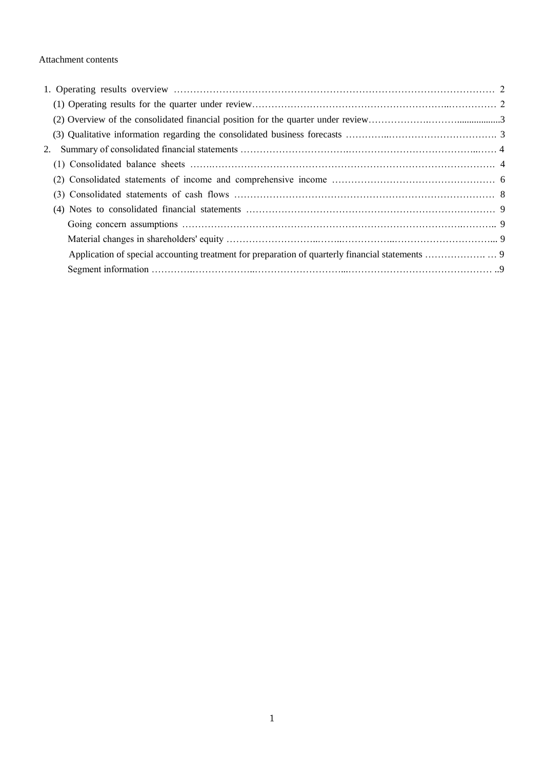## Attachment contents

| 2. |  |
|----|--|
|    |  |
|    |  |
|    |  |
|    |  |
|    |  |
|    |  |
|    |  |
|    |  |
|    |  |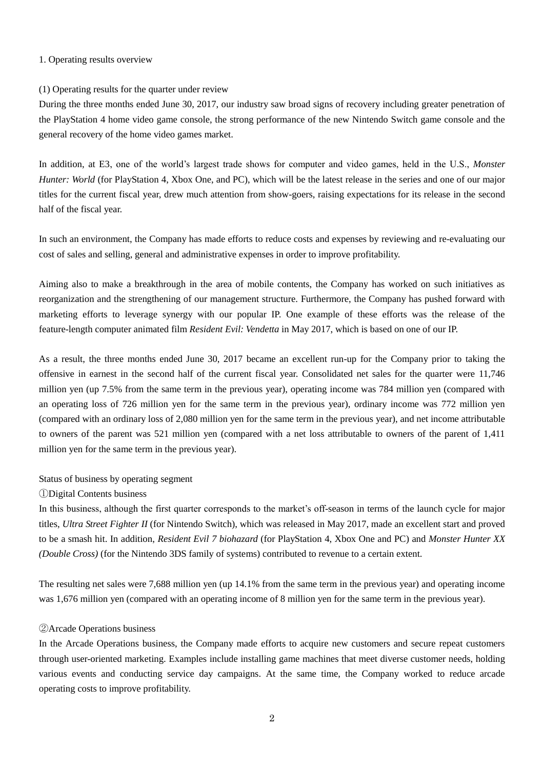#### 1. Operating results overview

### (1) Operating results for the quarter under review

During the three months ended June 30, 2017, our industry saw broad signs of recovery including greater penetration of the PlayStation 4 home video game console, the strong performance of the new Nintendo Switch game console and the general recovery of the home video games market.

In addition, at E3, one of the world's largest trade shows for computer and video games, held in the U.S., *Monster Hunter: World* (for PlayStation 4, Xbox One, and PC), which will be the latest release in the series and one of our major titles for the current fiscal year, drew much attention from show-goers, raising expectations for its release in the second half of the fiscal year.

In such an environment, the Company has made efforts to reduce costs and expenses by reviewing and re-evaluating our cost of sales and selling, general and administrative expenses in order to improve profitability.

Aiming also to make a breakthrough in the area of mobile contents, the Company has worked on such initiatives as reorganization and the strengthening of our management structure. Furthermore, the Company has pushed forward with marketing efforts to leverage synergy with our popular IP. One example of these efforts was the release of the feature-length computer animated film *Resident Evil: Vendetta* in May 2017, which is based on one of our IP.

As a result, the three months ended June 30, 2017 became an excellent run-up for the Company prior to taking the offensive in earnest in the second half of the current fiscal year. Consolidated net sales for the quarter were 11,746 million yen (up 7.5% from the same term in the previous year), operating income was 784 million yen (compared with an operating loss of 726 million yen for the same term in the previous year), ordinary income was 772 million yen (compared with an ordinary loss of 2,080 million yen for the same term in the previous year), and net income attributable to owners of the parent was 521 million yen (compared with a net loss attributable to owners of the parent of 1,411 million yen for the same term in the previous year).

#### Status of business by operating segment

#### ①Digital Contents business

In this business, although the first quarter corresponds to the market's off-season in terms of the launch cycle for major titles, *Ultra Street Fighter II* (for Nintendo Switch), which was released in May 2017, made an excellent start and proved to be a smash hit. In addition, *Resident Evil 7 biohazard* (for PlayStation 4, Xbox One and PC) and *Monster Hunter XX (Double Cross)* (for the Nintendo 3DS family of systems) contributed to revenue to a certain extent.

The resulting net sales were 7,688 million yen (up 14.1% from the same term in the previous year) and operating income was 1,676 million yen (compared with an operating income of 8 million yen for the same term in the previous year).

#### ②Arcade Operations business

In the Arcade Operations business, the Company made efforts to acquire new customers and secure repeat customers through user-oriented marketing. Examples include installing game machines that meet diverse customer needs, holding various events and conducting service day campaigns. At the same time, the Company worked to reduce arcade operating costs to improve profitability.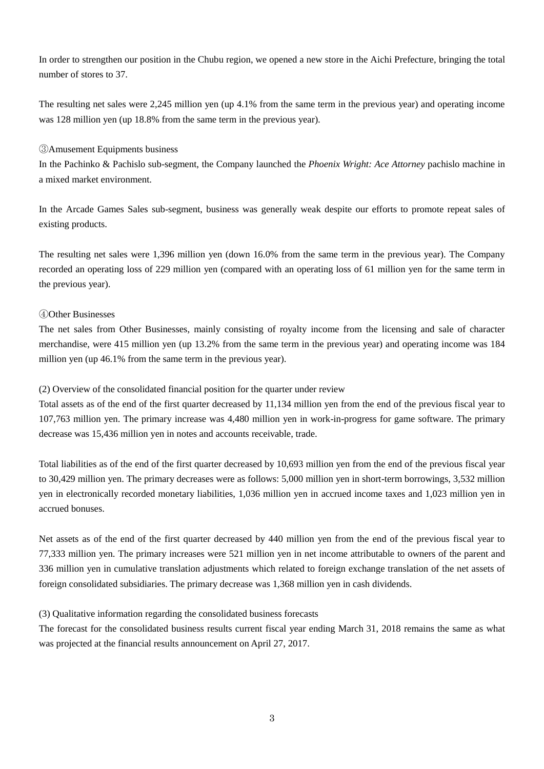In order to strengthen our position in the Chubu region, we opened a new store in the Aichi Prefecture, bringing the total number of stores to 37.

The resulting net sales were 2,245 million yen (up 4.1% from the same term in the previous year) and operating income was 128 million yen (up 18.8% from the same term in the previous year).

### ③Amusement Equipments business

In the Pachinko & Pachislo sub-segment, the Company launched the *Phoenix Wright: Ace Attorney* pachislo machine in a mixed market environment.

In the Arcade Games Sales sub-segment, business was generally weak despite our efforts to promote repeat sales of existing products.

The resulting net sales were 1,396 million yen (down 16.0% from the same term in the previous year). The Company recorded an operating loss of 229 million yen (compared with an operating loss of 61 million yen for the same term in the previous year).

# ④Other Businesses

The net sales from Other Businesses, mainly consisting of royalty income from the licensing and sale of character merchandise, were 415 million yen (up 13.2% from the same term in the previous year) and operating income was 184 million yen (up 46.1% from the same term in the previous year).

## (2) Overview of the consolidated financial position for the quarter under review

Total assets as of the end of the first quarter decreased by 11,134 million yen from the end of the previous fiscal year to 107,763 million yen. The primary increase was 4,480 million yen in work-in-progress for game software. The primary decrease was 15,436 million yen in notes and accounts receivable, trade.

Total liabilities as of the end of the first quarter decreased by 10,693 million yen from the end of the previous fiscal year to 30,429 million yen. The primary decreases were as follows: 5,000 million yen in short-term borrowings, 3,532 million yen in electronically recorded monetary liabilities, 1,036 million yen in accrued income taxes and 1,023 million yen in accrued bonuses.

Net assets as of the end of the first quarter decreased by 440 million yen from the end of the previous fiscal year to 77,333 million yen. The primary increases were 521 million yen in net income attributable to owners of the parent and 336 million yen in cumulative translation adjustments which related to foreign exchange translation of the net assets of foreign consolidated subsidiaries. The primary decrease was 1,368 million yen in cash dividends.

# (3) Qualitative information regarding the consolidated business forecasts

The forecast for the consolidated business results current fiscal year ending March 31, 2018 remains the same as what was projected at the financial results announcement on April 27, 2017.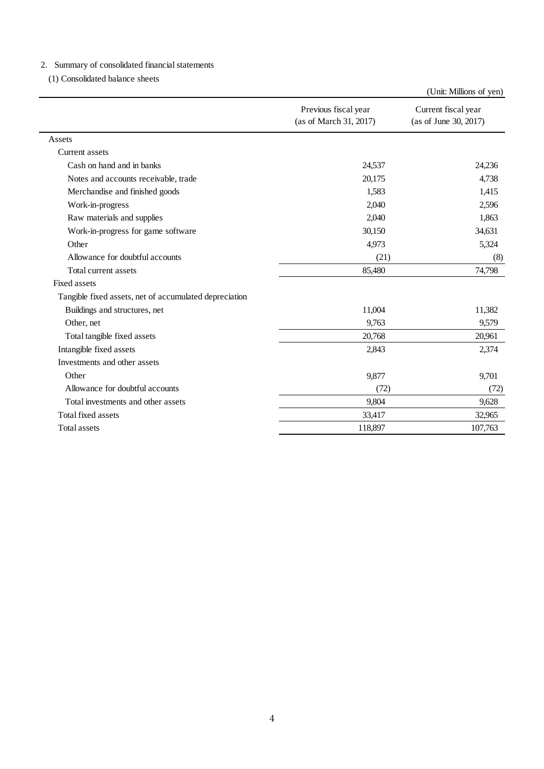# 2.Summary of consolidated financial statements

(1) Consolidated balance sheets

|                                                        |                                                | (Unit: Millions of yen)                      |  |
|--------------------------------------------------------|------------------------------------------------|----------------------------------------------|--|
|                                                        | Previous fiscal year<br>(as of March 31, 2017) | Current fiscal year<br>(as of June 30, 2017) |  |
| Assets                                                 |                                                |                                              |  |
| Current assets                                         |                                                |                                              |  |
| Cash on hand and in banks                              | 24,537                                         | 24,236                                       |  |
| Notes and accounts receivable, trade                   | 20,175                                         | 4,738                                        |  |
| Merchandise and finished goods                         | 1,583                                          | 1,415                                        |  |
| Work-in-progress                                       | 2,040                                          | 2,596                                        |  |
| Raw materials and supplies                             | 2,040                                          | 1,863                                        |  |
| Work-in-progress for game software                     | 30,150                                         | 34,631                                       |  |
| Other                                                  | 4,973                                          | 5,324                                        |  |
| Allowance for doubtful accounts                        | (21)                                           | (8)                                          |  |
| Total current assets                                   | 85,480                                         | 74,798                                       |  |
| Fixed assets                                           |                                                |                                              |  |
| Tangible fixed assets, net of accumulated depreciation |                                                |                                              |  |
| Buildings and structures, net                          | 11,004                                         | 11,382                                       |  |
| Other, net                                             | 9,763                                          | 9,579                                        |  |
| Total tangible fixed assets                            | 20,768                                         | 20,961                                       |  |
| Intangible fixed assets                                | 2,843                                          | 2,374                                        |  |
| Investments and other assets                           |                                                |                                              |  |
| Other                                                  | 9,877                                          | 9,701                                        |  |
| Allowance for doubtful accounts                        | (72)                                           | (72)                                         |  |
| Total investments and other assets                     | 9,804                                          | 9,628                                        |  |
| <b>Total fixed assets</b>                              | 33,417                                         | 32,965                                       |  |
| <b>Total assets</b>                                    | 118,897                                        | 107,763                                      |  |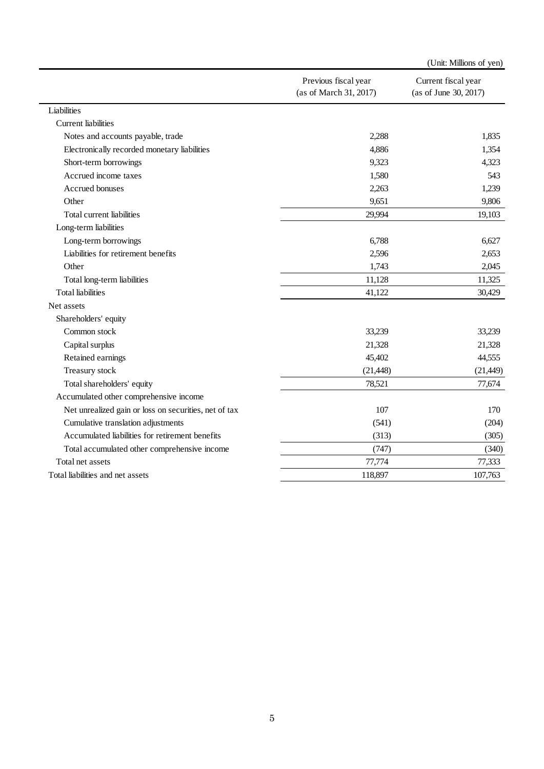|                                                       |                                                | (Unit: Millions of yen)                      |
|-------------------------------------------------------|------------------------------------------------|----------------------------------------------|
|                                                       | Previous fiscal year<br>(as of March 31, 2017) | Current fiscal year<br>(as of June 30, 2017) |
| Liabilities                                           |                                                |                                              |
| <b>Current</b> liabilities                            |                                                |                                              |
| Notes and accounts payable, trade                     | 2,288                                          | 1,835                                        |
| Electronically recorded monetary liabilities          | 4,886                                          | 1,354                                        |
| Short-term borrowings                                 | 9,323                                          | 4,323                                        |
| Accrued income taxes                                  | 1,580                                          | 543                                          |
| Accrued bonuses                                       | 2,263                                          | 1,239                                        |
| Other                                                 | 9,651                                          | 9,806                                        |
| Total current liabilities                             | 29,994                                         | 19,103                                       |
| Long-term liabilities                                 |                                                |                                              |
| Long-term borrowings                                  | 6,788                                          | 6,627                                        |
| Liabilities for retirement benefits                   | 2,596                                          | 2,653                                        |
| Other                                                 | 1,743                                          | 2,045                                        |
| Total long-term liabilities                           | 11,128                                         | 11,325                                       |
| <b>Total liabilities</b>                              | 41,122                                         | 30,429                                       |
| Net assets                                            |                                                |                                              |
| Shareholders' equity                                  |                                                |                                              |
| Common stock                                          | 33,239                                         | 33,239                                       |
| Capital surplus                                       | 21,328                                         | 21,328                                       |
| Retained earnings                                     | 45,402                                         | 44,555                                       |
| Treasury stock                                        | (21, 448)                                      | (21, 449)                                    |
| Total shareholders' equity                            | 78,521                                         | 77,674                                       |
| Accumulated other comprehensive income                |                                                |                                              |
| Net unrealized gain or loss on securities, net of tax | 107                                            | 170                                          |
| Cumulative translation adjustments                    | (541)                                          | (204)                                        |
| Accumulated liabilities for retirement benefits       | (313)                                          | (305)                                        |
| Total accumulated other comprehensive income          | (747)                                          | (340)                                        |
| Total net assets                                      | 77,774                                         | 77,333                                       |
| Total liabilities and net assets                      | 118,897                                        | 107,763                                      |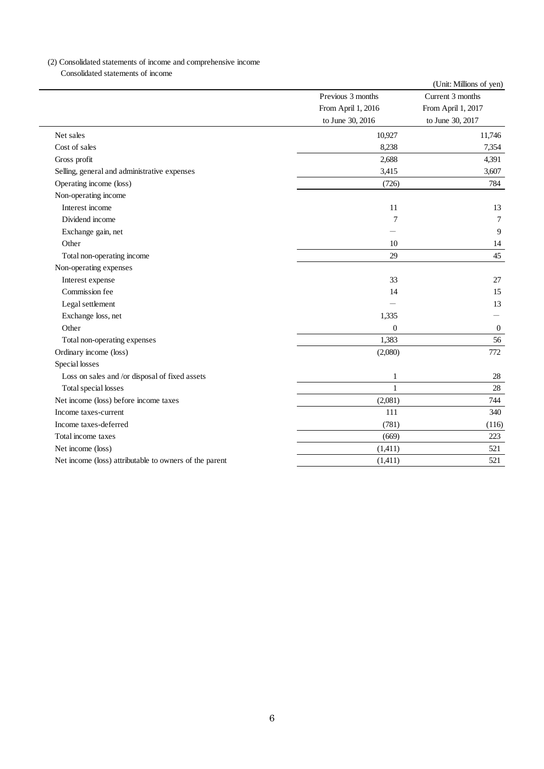# (2) Consolidated statements of income and comprehensive income

Consolidated statements of income

|                                                        |                    | (Unit: Millions of yen) |
|--------------------------------------------------------|--------------------|-------------------------|
|                                                        | Previous 3 months  | Current 3 months        |
|                                                        | From April 1, 2016 | From April 1, 2017      |
|                                                        | to June 30, 2016   | to June 30, 2017        |
| Net sales                                              | 10,927             | 11,746                  |
| Cost of sales                                          | 8,238              | 7,354                   |
| Gross profit                                           | 2,688              | 4,391                   |
| Selling, general and administrative expenses           | 3,415              | 3,607                   |
| Operating income (loss)                                | (726)              | 784                     |
| Non-operating income                                   |                    |                         |
| Interest income                                        | 11                 | 13                      |
| Dividend income                                        | 7                  | $\tau$                  |
| Exchange gain, net                                     |                    | 9                       |
| Other                                                  | 10                 | 14                      |
| Total non-operating income                             | 29                 | 45                      |
| Non-operating expenses                                 |                    |                         |
| Interest expense                                       | 33                 | 27                      |
| Commission fee                                         | 14                 | 15                      |
| Legal settlement                                       |                    | 13                      |
| Exchange loss, net                                     | 1,335              |                         |
| Other                                                  | $\overline{0}$     | $\overline{0}$          |
| Total non-operating expenses                           | 1,383              | 56                      |
| Ordinary income (loss)                                 | (2,080)            | 772                     |
| Special losses                                         |                    |                         |
| Loss on sales and /or disposal of fixed assets         | 1                  | 28                      |
| Total special losses                                   | 1                  | 28                      |
| Net income (loss) before income taxes                  | (2,081)            | 744                     |
| Income taxes-current                                   | 111                | 340                     |
| Income taxes-deferred                                  | (781)              | (116)                   |
| Total income taxes                                     | (669)              | 223                     |
| Net income (loss)                                      | (1,411)            | 521                     |
| Net income (loss) attributable to owners of the parent | (1,411)            | 521                     |
|                                                        |                    |                         |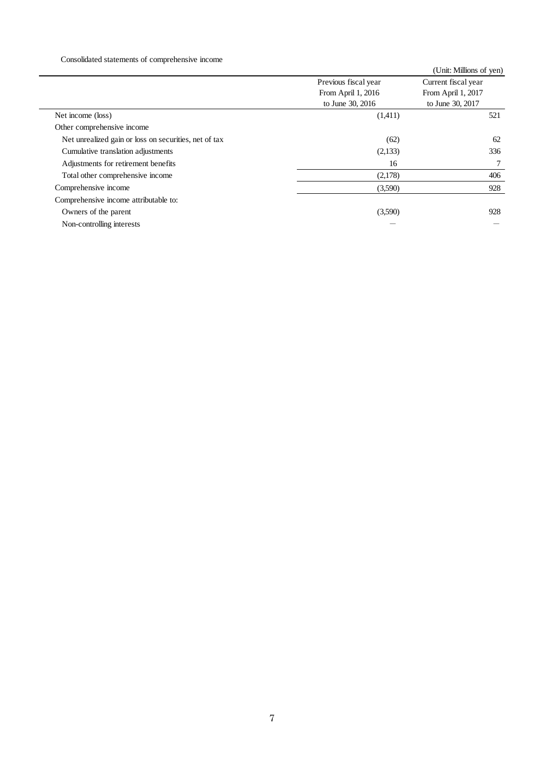# Consolidated statements of comprehensive income

|                                                       |                      | (Unit: Millions of yen) |
|-------------------------------------------------------|----------------------|-------------------------|
|                                                       | Previous fiscal year | Current fiscal year     |
|                                                       | From April 1, 2016   | From April 1, 2017      |
|                                                       | to June 30, 2016     | to June 30, 2017        |
| Net income (loss)                                     | (1,411)              | 521                     |
| Other comprehensive income                            |                      |                         |
| Net unrealized gain or loss on securities, net of tax | (62)                 | 62                      |
| Cumulative translation adjustments                    | (2,133)              | 336                     |
| Adjustments for retirement benefits                   | 16                   | 7                       |
| Total other comprehensive income                      | (2,178)              | 406                     |
| Comprehensive income                                  | (3,590)              | 928                     |
| Comprehensive income attributable to:                 |                      |                         |
| Owners of the parent                                  | (3,590)              | 928                     |
| Non-controlling interests                             |                      |                         |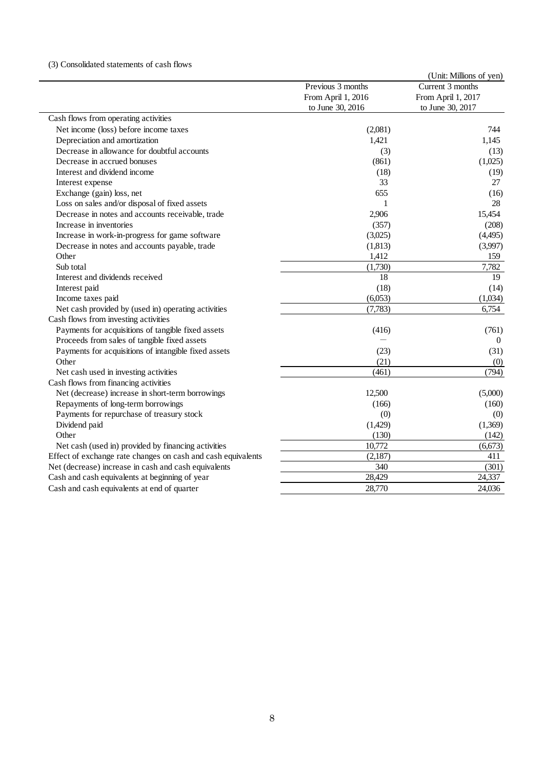### (3) Consolidated statements of cash flows

|                                                              |                    | (Unit: Millions of yen) |
|--------------------------------------------------------------|--------------------|-------------------------|
|                                                              | Previous 3 months  | Current 3 months        |
|                                                              | From April 1, 2016 | From April 1, 2017      |
|                                                              | to June 30, 2016   | to June 30, 2017        |
| Cash flows from operating activities                         |                    |                         |
| Net income (loss) before income taxes                        | (2,081)            | 744                     |
| Depreciation and amortization                                | 1,421              | 1,145                   |
| Decrease in allowance for doubtful accounts                  | (3)                | (13)                    |
| Decrease in accrued bonuses                                  | (861)              | (1,025)                 |
| Interest and dividend income                                 | (18)               | (19)                    |
| Interest expense                                             | 33                 | 27                      |
| Exchange (gain) loss, net                                    | 655                | (16)                    |
| Loss on sales and/or disposal of fixed assets                | 1                  | 28                      |
| Decrease in notes and accounts receivable, trade             | 2,906              | 15,454                  |
| Increase in inventories                                      | (357)              | (208)                   |
| Increase in work-in-progress for game software               | (3,025)            | (4,495)                 |
| Decrease in notes and accounts payable, trade                | (1,813)            | (3,997)                 |
| Other                                                        | 1,412              | 159                     |
| Sub total                                                    | (1,730)            | 7,782                   |
| Interest and dividends received                              | 18                 | 19                      |
| Interest paid                                                | (18)               | (14)                    |
| Income taxes paid                                            | (6,053)            | (1,034)                 |
| Net cash provided by (used in) operating activities          | (7, 783)           | 6,754                   |
| Cash flows from investing activities                         |                    |                         |
| Payments for acquisitions of tangible fixed assets           | (416)              | (761)                   |
| Proceeds from sales of tangible fixed assets                 |                    | $\overline{0}$          |
| Payments for acquisitions of intangible fixed assets         | (23)               | (31)                    |
| Other                                                        | (21)               | (0)                     |
| Net cash used in investing activities                        | (461)              | (794)                   |
| Cash flows from financing activities                         |                    |                         |
| Net (decrease) increase in short-term borrowings             | 12,500             | (5,000)                 |
| Repayments of long-term borrowings                           | (166)              | (160)                   |
| Payments for repurchase of treasury stock                    | (0)                | (0)                     |
| Dividend paid                                                | (1,429)            | (1,369)                 |
| Other                                                        | (130)              | (142)                   |
| Net cash (used in) provided by financing activities          | 10,772             | (6, 673)                |
| Effect of exchange rate changes on cash and cash equivalents | (2,187)            | 411                     |
| Net (decrease) increase in cash and cash equivalents         | 340                | (301)                   |
| Cash and cash equivalents at beginning of year               | 28,429             | 24,337                  |
| Cash and cash equivalents at end of quarter                  | 28,770             | 24,036                  |